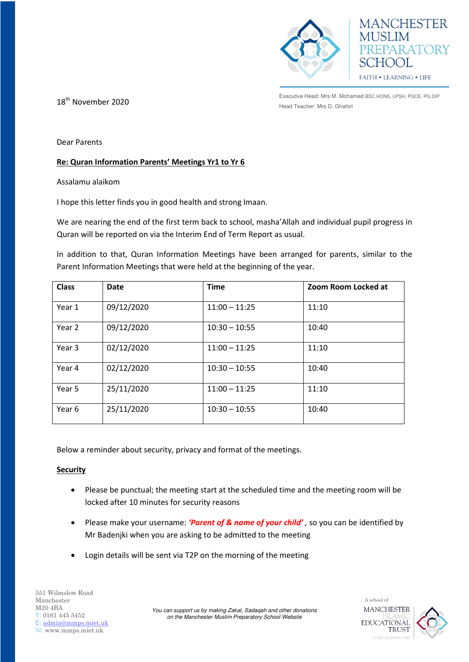



Executive Head: Mrs M. Mohamed BSC.HONS, LPSH, PGCE, PG.DIP **18<sup>th</sup> November 2020**<br>Head Teacher: Mrs D. Ghafori

Dear Parents

## **Re: Quran Information Parents' Meetings Yr1 to Yr 6**

Assalamu alaikom

I hope this letter finds you in good health and strong Imaan.

We are nearing the end of the first term back to school, masha'Allah and individual pupil progress in Quran will be reported on via the Interim End of Term Report as usual.

In addition to that, Quran Information Meetings have been arranged for parents, similar to the Parent Information Meetings that were held at the beginning of the year.

| <b>Class</b> | Date       | <b>Time</b>     | Zoom Room Locked at |
|--------------|------------|-----------------|---------------------|
| Year 1       | 09/12/2020 | $11:00 - 11:25$ | 11:10               |
| Year 2       | 09/12/2020 | $10:30 - 10:55$ | 10:40               |
| Year 3       | 02/12/2020 | $11:00 - 11:25$ | 11:10               |
| Year 4       | 02/12/2020 | $10:30 - 10:55$ | 10:40               |
| Year 5       | 25/11/2020 | $11:00 - 11:25$ | 11:10               |
| Year 6       | 25/11/2020 | $10:30 - 10:55$ | 10:40               |

Below a reminder about security, privacy and format of the meetings.

## **Security**

- Please be punctual; the meeting start at the scheduled time and the meeting room will be locked after 10 minutes for security reasons
- Please make your username: *'Parent of & name of your child' ,* so you can be identified by Mr Badenjki when you are asking to be admitted to the meeting
- Login details will be sent via T2P on the morning of the meeting